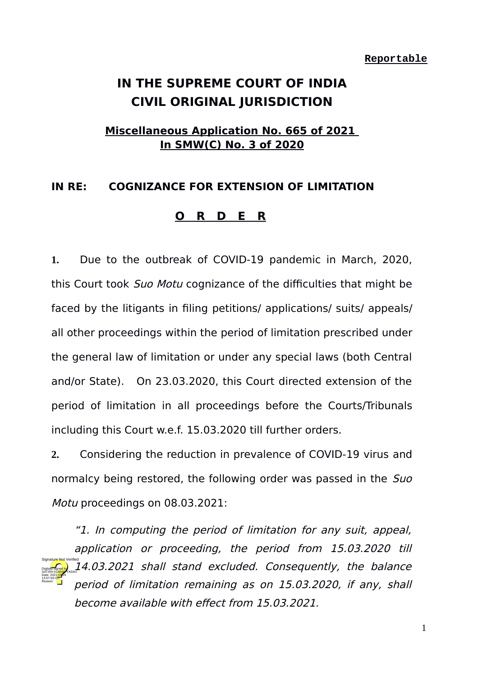# **IN THE SUPREME COURT OF INDIA CIVIL ORIGINAL JURISDICTION**

## **Miscellaneous Application No. 665 of 2021 In SMW(C) No. 3 of 2020**

## **IN RE: COGNIZANCE FOR EXTENSION OF LIMITATION**

### **O R D E R**

**1.** Due to the outbreak of COVID-19 pandemic in March, 2020, this Court took Suo Motu cognizance of the difficulties that might be faced by the litigants in filing petitions/ applications/ suits/ appeals/ all other proceedings within the period of limitation prescribed under the general law of limitation or under any special laws (both Central and/or State). On 23.03.2020, this Court directed extension of the period of limitation in all proceedings before the Courts/Tribunals including this Court w.e.f. 15.03.2020 till further orders.

**2.** Considering the reduction in prevalence of COVID-19 virus and normalcy being restored, the following order was passed in the Suo Motu proceedings on 08.03.2021:

"1. In computing the period of limitation for any suit, appeal, application or proceeding, the period from 15.03.2020 till 14.03.2021 shall stand excluded. Consequently, the balance period of limitation remaining as on 15.03.2020, if any, shall become available with effect from 15.03.2021. Digitally signed by SATISH KUMAR YADAV Date: 2021.09.25 13:57:59 IST Reason: Signature Not Verified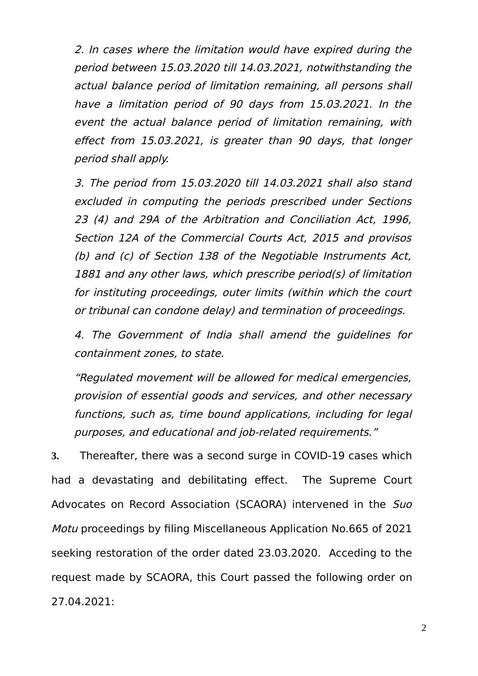2. In cases where the limitation would have expired during the period between 15.03.2020 till 14.03.2021, notwithstanding the actual balance period of limitation remaining, all persons shall have a limitation period of 90 days from 15.03.2021. In the event the actual balance period of limitation remaining, with effect from 15.03.2021, is greater than 90 days, that longer period shall apply.

3. The period from 15.03.2020 till 14.03.2021 shall also stand excluded in computing the periods prescribed under Sections 23 (4) and 29A of the Arbitration and Conciliation Act, 1996, Section 12A of the Commercial Courts Act, 2015 and provisos (b) and (c) of Section 138 of the Negotiable Instruments Act, 1881 and any other laws, which prescribe period(s) of limitation for instituting proceedings, outer limits (within which the court or tribunal can condone delay) and termination of proceedings.

4. The Government of India shall amend the guidelines for containment zones, to state.

"Regulated movement will be allowed for medical emergencies, provision of essential goods and services, and other necessary functions, such as, time bound applications, including for legal purposes, and educational and job-related requirements."

**3.** Thereafter, there was a second surge in COVID-19 cases which had a devastating and debilitating effect. The Supreme Court Advocates on Record Association (SCAORA) intervened in the Suo Motu proceedings by filing Miscellaneous Application No.665 of 2021 seeking restoration of the order dated 23.03.2020. Acceding to the request made by SCAORA, this Court passed the following order on 27.04.2021: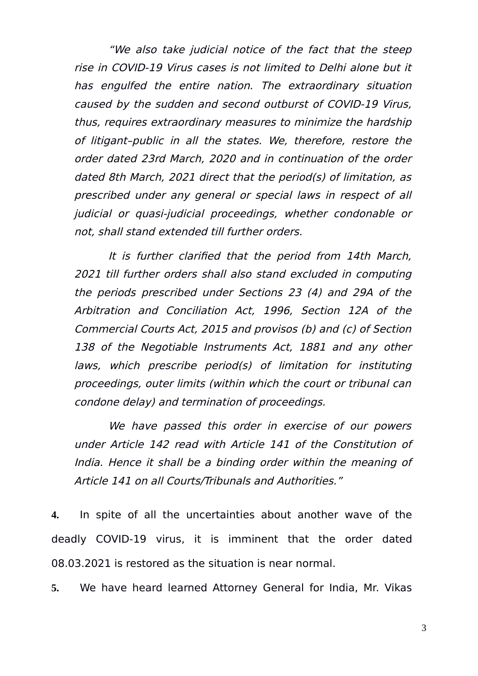"We also take judicial notice of the fact that the steep rise in COVID-19 Virus cases is not limited to Delhi alone but it has engulfed the entire nation. The extraordinary situation caused by the sudden and second outburst of COVID-19 Virus, thus, requires extraordinary measures to minimize the hardship of litigant–public in all the states. We, therefore, restore the order dated 23rd March, 2020 and in continuation of the order dated 8th March, 2021 direct that the period(s) of limitation, as prescribed under any general or special laws in respect of all judicial or quasi-judicial proceedings, whether condonable or not, shall stand extended till further orders.

It is further clarified that the period from 14th March, 2021 till further orders shall also stand excluded in computing the periods prescribed under Sections 23 (4) and 29A of the Arbitration and Conciliation Act, 1996, Section 12A of the Commercial Courts Act, 2015 and provisos (b) and (c) of Section 138 of the Negotiable Instruments Act, 1881 and any other laws, which prescribe period(s) of limitation for instituting proceedings, outer limits (within which the court or tribunal can condone delay) and termination of proceedings.

We have passed this order in exercise of our powers under Article 142 read with Article 141 of the Constitution of India. Hence it shall be a binding order within the meaning of Article 141 on all Courts/Tribunals and Authorities."

**4.** In spite of all the uncertainties about another wave of the deadly COVID-19 virus, it is imminent that the order dated 08.03.2021 is restored as the situation is near normal.

**5.** We have heard learned Attorney General for India, Mr. Vikas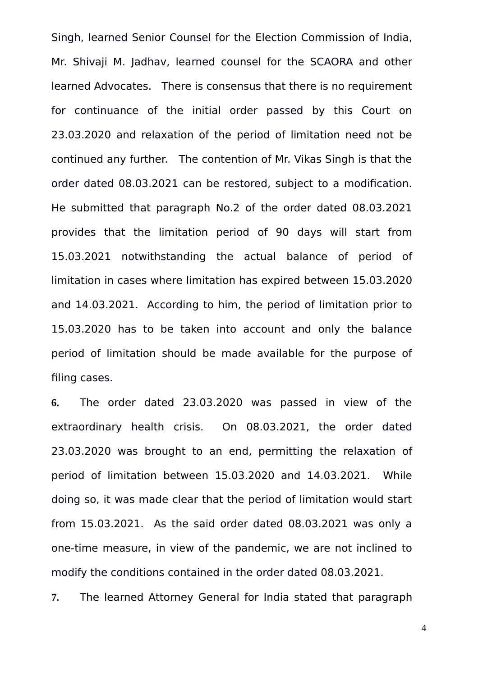Singh, learned Senior Counsel for the Election Commission of India, Mr. Shivaji M. Jadhav, learned counsel for the SCAORA and other learned Advocates. There is consensus that there is no requirement for continuance of the initial order passed by this Court on 23.03.2020 and relaxation of the period of limitation need not be continued any further. The contention of Mr. Vikas Singh is that the order dated 08.03.2021 can be restored, subject to a modification. He submitted that paragraph No.2 of the order dated 08.03.2021 provides that the limitation period of 90 days will start from 15.03.2021 notwithstanding the actual balance of period of limitation in cases where limitation has expired between 15.03.2020 and 14.03.2021. According to him, the period of limitation prior to 15.03.2020 has to be taken into account and only the balance period of limitation should be made available for the purpose of filing cases.

**6.** The order dated 23.03.2020 was passed in view of the extraordinary health crisis. On 08.03.2021, the order dated 23.03.2020 was brought to an end, permitting the relaxation of period of limitation between 15.03.2020 and 14.03.2021. While doing so, it was made clear that the period of limitation would start from 15.03.2021. As the said order dated 08.03.2021 was only a one-time measure, in view of the pandemic, we are not inclined to modify the conditions contained in the order dated 08.03.2021.

**7.** The learned Attorney General for India stated that paragraph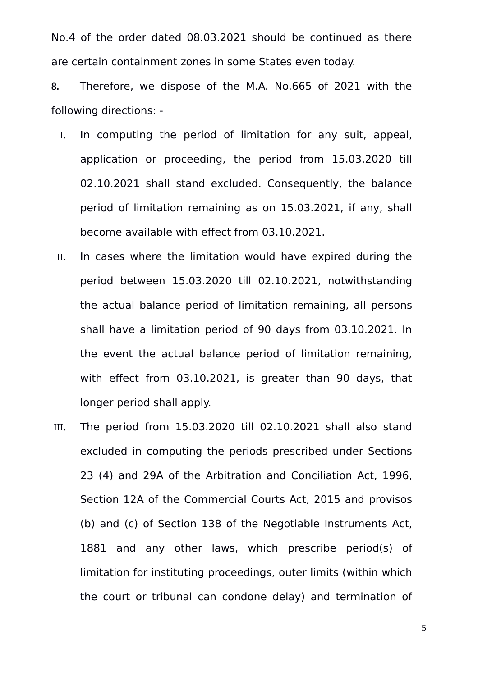No.4 of the order dated 08.03.2021 should be continued as there are certain containment zones in some States even today.

**8.** Therefore, we dispose of the M.A. No.665 of 2021 with the following directions: -

- I. In computing the period of limitation for any suit, appeal, application or proceeding, the period from 15.03.2020 till 02.10.2021 shall stand excluded. Consequently, the balance period of limitation remaining as on 15.03.2021, if any, shall become available with effect from 03.10.2021.
- II. In cases where the limitation would have expired during the period between 15.03.2020 till 02.10.2021, notwithstanding the actual balance period of limitation remaining, all persons shall have a limitation period of 90 days from 03.10.2021. In the event the actual balance period of limitation remaining, with effect from 03.10.2021, is greater than 90 days, that longer period shall apply.
- III. The period from 15.03.2020 till 02.10.2021 shall also stand excluded in computing the periods prescribed under Sections 23 (4) and 29A of the Arbitration and Conciliation Act, 1996, Section 12A of the Commercial Courts Act, 2015 and provisos (b) and (c) of Section 138 of the Negotiable Instruments Act, 1881 and any other laws, which prescribe period(s) of limitation for instituting proceedings, outer limits (within which the court or tribunal can condone delay) and termination of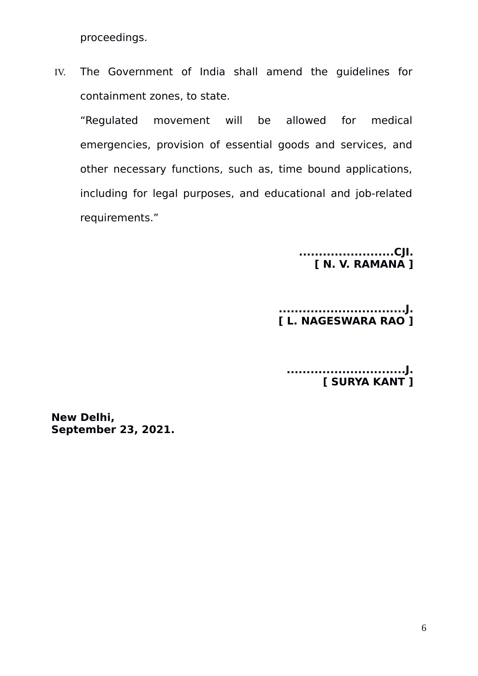proceedings.

IV. The Government of India shall amend the guidelines for containment zones, to state.

"Regulated movement will be allowed for medical emergencies, provision of essential goods and services, and other necessary functions, such as, time bound applications, including for legal purposes, and educational and job-related requirements."

> **........................CJI. [ N. V. RAMANA ]**

#### **................................J. [ L. NAGESWARA RAO ]**

**..............................J. [ SURYA KANT ]**

**New Delhi, September 23, 2021.**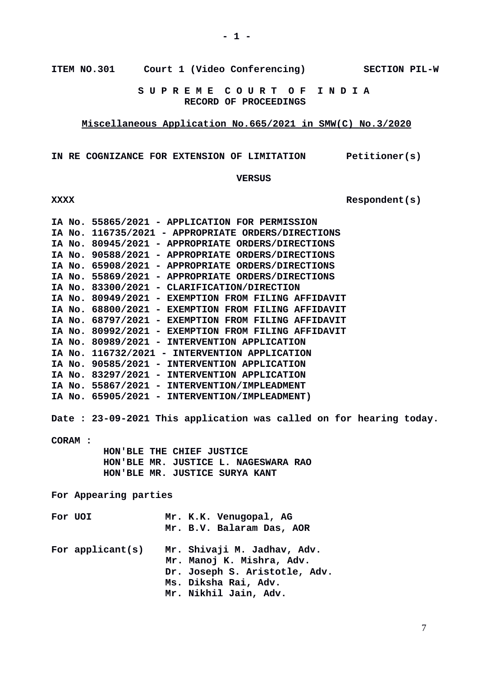**ITEM NO.301 Court 1 (Video Conferencing) SECTION PIL-W**

 **S U P R E M E C O U R T O F I N D I A RECORD OF PROCEEDINGS**

**Miscellaneous Application No.665/2021 in SMW(C) No.3/2020**

**IN RE COGNIZANCE FOR EXTENSION OF LIMITATION Petitioner(s)**

 **VERSUS**

|                                                                    | IA No. 55865/2021 - APPLICATION FOR PERMISSION<br>IA No. 116735/2021 - APPROPRIATE ORDERS/DIRECTIONS |  |  |
|--------------------------------------------------------------------|------------------------------------------------------------------------------------------------------|--|--|
|                                                                    | IA No. 80945/2021 - APPROPRIATE ORDERS/DIRECTIONS                                                    |  |  |
|                                                                    | IA No. 90588/2021 - APPROPRIATE ORDERS/DIRECTIONS                                                    |  |  |
| IA No. 65908/2021 - APPROPRIATE ORDERS/DIRECTIONS                  |                                                                                                      |  |  |
| IA No. 55869/2021 - APPROPRIATE ORDERS/DIRECTIONS                  |                                                                                                      |  |  |
| IA No. 83300/2021 - CLARIFICATION/DIRECTION                        |                                                                                                      |  |  |
|                                                                    | IA No. 80949/2021 - EXEMPTION FROM FILING AFFIDAVIT                                                  |  |  |
| IA No. 68800/2021 - EXEMPTION FROM FILING AFFIDAVIT                |                                                                                                      |  |  |
|                                                                    | IA No. 68797/2021 - EXEMPTION FROM FILING AFFIDAVIT                                                  |  |  |
|                                                                    | IA No. 80992/2021 - EXEMPTION FROM FILING AFFIDAVIT                                                  |  |  |
| IA No. 80989/2021 - INTERVENTION APPLICATION                       |                                                                                                      |  |  |
| IA No. 116732/2021 - INTERVENTION APPLICATION                      |                                                                                                      |  |  |
|                                                                    | IA No. 90585/2021 - INTERVENTION APPLICATION                                                         |  |  |
|                                                                    | IA No. 83297/2021 - INTERVENTION APPLICATION                                                         |  |  |
|                                                                    | IA No. 55867/2021 - INTERVENTION/IMPLEADMENT                                                         |  |  |
|                                                                    | IA No. 65905/2021 - INTERVENTION/IMPLEADMENT)                                                        |  |  |
| Date: 23-09-2021 This application was called on for hearing today. |                                                                                                      |  |  |
| <b>CORAM:</b>                                                      |                                                                                                      |  |  |
| HON'BLE THE CHIEF JUSTICE                                          |                                                                                                      |  |  |
| HON'BLE MR. JUSTICE L. NAGESWARA RAO                               |                                                                                                      |  |  |
| HON'BLE MR. JUSTICE SURYA KANT                                     |                                                                                                      |  |  |
|                                                                    |                                                                                                      |  |  |
| For Appearing parties                                              |                                                                                                      |  |  |
| For UOI                                                            | Mr. K.K. Venugopal, AG                                                                               |  |  |
|                                                                    | Mr. B.V. Balaram Das, AOR                                                                            |  |  |
|                                                                    |                                                                                                      |  |  |
| For $appliednt(s)$                                                 | Mr. Shivaji M. Jadhav, Adv.                                                                          |  |  |
|                                                                    | Mr. Manoj K. Mishra, Adv.                                                                            |  |  |
|                                                                    | Dr. Joseph S. Aristotle, Adv.                                                                        |  |  |
|                                                                    | Ms. Diksha Rai, Adv.                                                                                 |  |  |
|                                                                    | Mr. Nikhil Jain, Adv.                                                                                |  |  |

**XXXX Respondent(s)**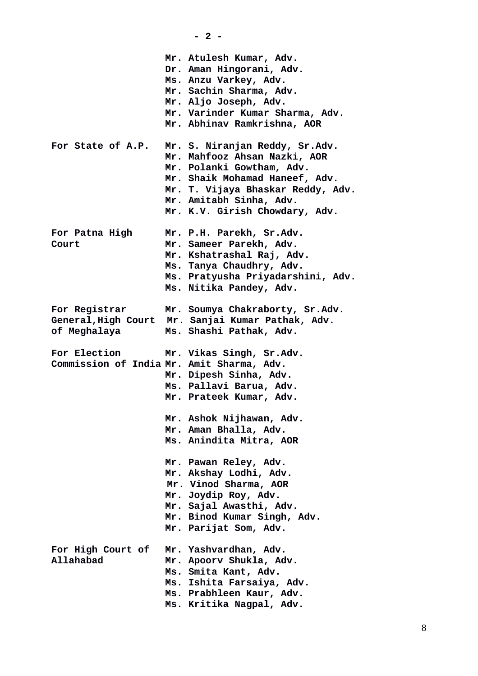|                                                                  | $-2-$                                                                                                                                                                                                                           |
|------------------------------------------------------------------|---------------------------------------------------------------------------------------------------------------------------------------------------------------------------------------------------------------------------------|
|                                                                  | Mr. Atulesh Kumar, Adv.<br>Dr. Aman Hingorani, Adv.<br>Ms. Anzu Varkey, Adv.<br>Mr. Sachin Sharma, Adv.<br>Mr. Aljo Joseph, Adv.<br>Mr. Varinder Kumar Sharma, Adv.<br>Mr. Abhinav Ramkrishna, AOR                              |
| For State of A.P.                                                | Mr. S. Niranjan Reddy, Sr.Adv.<br>Mr. Mahfooz Ahsan Nazki, AOR<br>Mr. Polanki Gowtham, Adv.<br>Mr. Shaik Mohamad Haneef, Adv.<br>Mr. T. Vijaya Bhaskar Reddy, Adv.<br>Mr. Amitabh Sinha, Adv.<br>Mr. K.V. Girish Chowdary, Adv. |
| For Patna High<br>Court                                          | Mr. P.H. Parekh, Sr.Adv.<br>Mr. Sameer Parekh, Adv.<br>Mr. Kshatrashal Raj, Adv.<br>Ms. Tanya Chaudhry, Adv.<br>Ms. Pratyusha Priyadarshini, Adv.<br>Ms. Nitika Pandey, Adv.                                                    |
| For Registrar<br>of Meghalaya                                    | Mr. Soumya Chakraborty, Sr.Adv.<br>General, High Court Mr. Sanjai Kumar Pathak, Adv.<br>Ms. Shashi Pathak, Adv.                                                                                                                 |
| <b>For Election</b><br>Commission of India Mr. Amit Sharma, Adv. | Mr. Vikas Singh, Sr.Adv.<br>Mr. Dipesh Sinha, Adv.<br>Ms. Pallavi Barua, Adv.<br>Mr. Prateek Kumar, Adv.                                                                                                                        |
|                                                                  | Mr. Ashok Nijhawan, Adv.<br>Mr. Aman Bhalla, Adv.<br>Ms. Anindita Mitra, AOR                                                                                                                                                    |
|                                                                  | Mr. Pawan Reley, Adv.<br>Mr. Akshay Lodhi, Adv.<br>Mr. Vinod Sharma, AOR<br>Mr. Joydip Roy, Adv.<br>Mr. Sajal Awasthi, Adv.<br>Mr. Binod Kumar Singh, Adv.<br>Mr. Parijat Som, Adv.                                             |
| For High Court of<br><b>Allahabad</b>                            | Mr. Yashvardhan, Adv.<br>Mr. Apoorv Shukla, Adv.<br>Ms. Smita Kant, Adv.<br>Ms. Ishita Farsaiya, Adv.<br>Ms. Prabhleen Kaur, Adv.<br>Ms. Kritika Nagpal, Adv.                                                                   |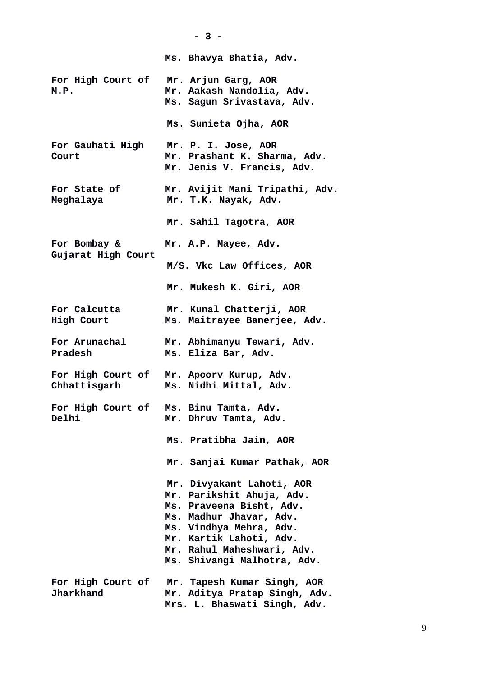**- 3 - Ms. Bhavya Bhatia, Adv. For High Court of Mr. Arjun Garg, AOR M.P. Mr. Aakash Nandolia, Adv. Ms. Sagun Srivastava, Adv. Ms. Sunieta Ojha, AOR For Gauhati High Mr. P. I. Jose, AOR Court Mr. Prashant K. Sharma, Adv. Mr. Jenis V. Francis, Adv. For State of Mr. Avijit Mani Tripathi, Adv. Meghalaya Mr. T.K. Nayak, Adv. Mr. Sahil Tagotra, AOR For Bombay & Mr. A.P. Mayee, Adv. Gujarat High Court M/S. Vkc Law Offices, AOR Mr. Mukesh K. Giri, AOR For Calcutta Mr. Kunal Chatterji, AOR High Court Ms. Maitrayee Banerjee, Adv. For Arunachal Mr. Abhimanyu Tewari, Adv. Pradesh Ms. Eliza Bar, Adv. For High Court of Mr. Apoorv Kurup, Adv. Chhattisgarh Ms. Nidhi Mittal, Adv. For High Court of Ms. Binu Tamta, Adv. Delhi Mr. Dhruv Tamta, Adv. Ms. Pratibha Jain, AOR Mr. Sanjai Kumar Pathak, AOR Mr. Divyakant Lahoti, AOR Mr. Parikshit Ahuja, Adv. Ms. Praveena Bisht, Adv. Ms. Madhur Jhavar, Adv. Ms. Vindhya Mehra, Adv. Mr. Kartik Lahoti, Adv. Mr. Rahul Maheshwari, Adv. Ms. Shivangi Malhotra, Adv. For High Court of Mr. Tapesh Kumar Singh, AOR Jharkhand Mr. Aditya Pratap Singh, Adv. Mrs. L. Bhaswati Singh, Adv.**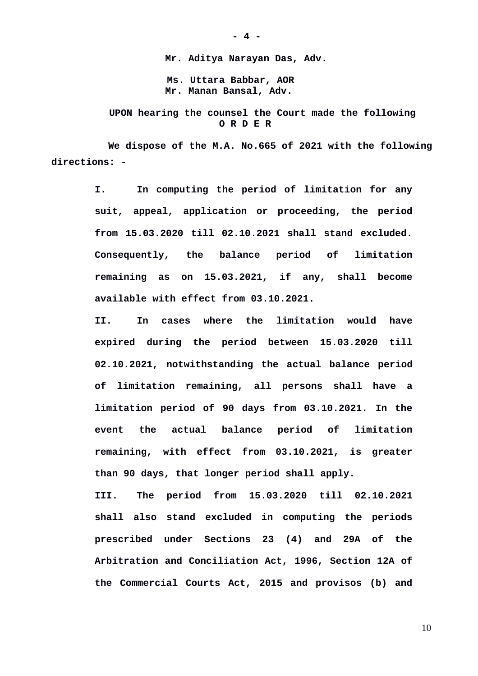**Mr. Aditya Narayan Das, Adv. Ms. Uttara Babbar, AOR Mr. Manan Bansal, Adv.** 

 **UPON hearing the counsel the Court made the following O R D E R**

**We dispose of the M.A. No.665 of 2021 with the following directions: -**

> **I. In computing the period of limitation for any suit, appeal, application or proceeding, the period from 15.03.2020 till 02.10.2021 shall stand excluded. Consequently, the balance period of limitation remaining as on 15.03.2021, if any, shall become available with effect from 03.10.2021.**

> **II. In cases where the limitation would have expired during the period between 15.03.2020 till 02.10.2021, notwithstanding the actual balance period of limitation remaining, all persons shall have a limitation period of 90 days from 03.10.2021. In the event the actual balance period of limitation remaining, with effect from 03.10.2021, is greater than 90 days, that longer period shall apply.**

> **III. The period from 15.03.2020 till 02.10.2021 shall also stand excluded in computing the periods prescribed under Sections 23 (4) and 29A of the Arbitration and Conciliation Act, 1996, Section 12A of the Commercial Courts Act, 2015 and provisos (b) and**

**- 4 -**